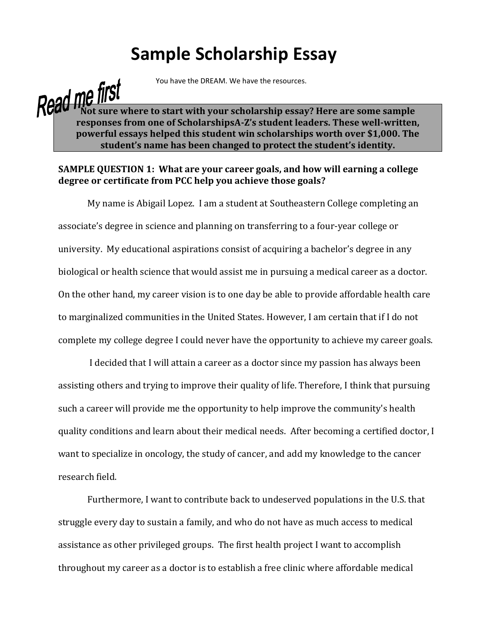## **Sample Scholarship Essay**

You have the DREAM. We have the resources.

## **Nead me IIISI**<br>Read Mot sure where to start with your scholarship essay? Here are some sample **responses from one of ScholarshipsA-Z's student leaders. These well-written, powerful essays helped this student win scholarships worth over \$1,000. The student's name has been changed to protect the student's identity.**

## **SAMPLE QUESTION 1: What are your career goals, and how will earning a college degree or certificate from PCC help you achieve those goals?**

My name is Abigail Lopez. I am a student at Southeastern College completing an associate's degree in science and planning on transferring to a four-year college or university. My educational aspirations consist of acquiring a bachelor's degree in any biological or health science that would assist me in pursuing a medical career as a doctor. On the other hand, my career vision is to one day be able to provide affordable health care to marginalized communities in the United States. However, I am certain that if I do not complete my college degree I could never have the opportunity to achieve my career goals.

I decided that I will attain a career as a doctor since my passion has always been assisting others and trying to improve their quality of life. Therefore, I think that pursuing such a career will provide me the opportunity to help improve the community's health quality conditions and learn about their medical needs. After becoming a certified doctor, I want to specialize in oncology, the study of cancer, and add my knowledge to the cancer research field.

Furthermore, I want to contribute back to undeserved populations in the U.S. that struggle every day to sustain a family, and who do not have as much access to medical assistance as other privileged groups. The first health project I want to accomplish throughout my career as a doctor is to establish a free clinic where affordable medical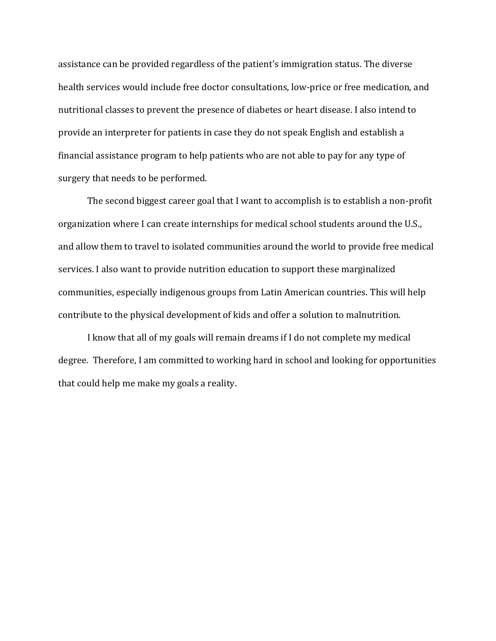assistance can be provided regardless of the patient's immigration status. The diverse health services would include free doctor consultations, low-price or free medication, and nutritional classes to prevent the presence of diabetes or heart disease. I also intend to provide an interpreter for patients in case they do not speak English and establish a financial assistance program to help patients who are not able to pay for any type of surgery that needs to be performed.

The second biggest career goal that I want to accomplish is to establish a non-profit organization where I can create internships for medical school students around the U.S., and allow them to travel to isolated communities around the world to provide free medical services. I also want to provide nutrition education to support these marginalized communities, especially indigenous groups from Latin American countries. This will help contribute to the physical development of kids and offer a solution to malnutrition.

I know that all of my goals will remain dreams if I do not complete my medical degree. Therefore, I am committed to working hard in school and looking for opportunities that could help me make my goals a reality.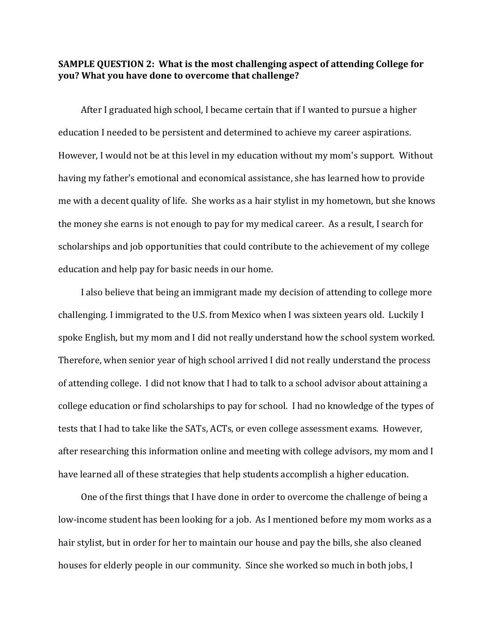## **SAMPLE QUESTION 2: What is the most challenging aspect of attending College for you? What you have done to overcome that challenge?**

After I graduated high school, I became certain that if I wanted to pursue a higher education I needed to be persistent and determined to achieve my career aspirations. However, I would not be at this level in my education without my mom's support. Without having my father's emotional and economical assistance, she has learned how to provide me with a decent quality of life. She works as a hair stylist in my hometown, but she knows the money she earns is not enough to pay for my medical career. As a result, I search for scholarships and job opportunities that could contribute to the achievement of my college education and help pay for basic needs in our home.

I also believe that being an immigrant made my decision of attending to college more challenging. I immigrated to the U.S. from Mexico when I was sixteen years old. Luckily I spoke English, but my mom and I did not really understand how the school system worked. Therefore, when senior year of high school arrived I did not really understand the process of attending college. I did not know that I had to talk to a school advisor about attaining a college education or find scholarships to pay for school. I had no knowledge of the types of tests that I had to take like the SATs, ACTs, or even college assessment exams. However, after researching this information online and meeting with college advisors, my mom and I have learned all of these strategies that help students accomplish a higher education.

One of the first things that I have done in order to overcome the challenge of being a low-income student has been looking for a job. As I mentioned before my mom works as a hair stylist, but in order for her to maintain our house and pay the bills, she also cleaned houses for elderly people in our community. Since she worked so much in both jobs, I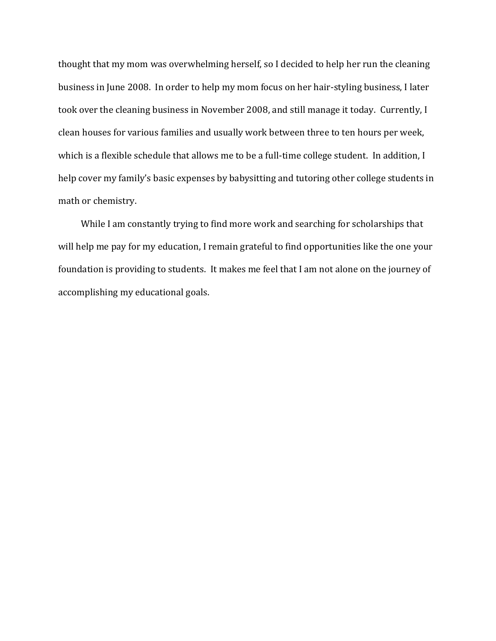thought that my mom was overwhelming herself, so I decided to help her run the cleaning business in June 2008. In order to help my mom focus on her hair-styling business, I later took over the cleaning business in November 2008, and still manage it today. Currently, I clean houses for various families and usually work between three to ten hours per week, which is a flexible schedule that allows me to be a full-time college student. In addition, I help cover my family's basic expenses by babysitting and tutoring other college students in math or chemistry.

While I am constantly trying to find more work and searching for scholarships that will help me pay for my education, I remain grateful to find opportunities like the one your foundation is providing to students. It makes me feel that I am not alone on the journey of accomplishing my educational goals.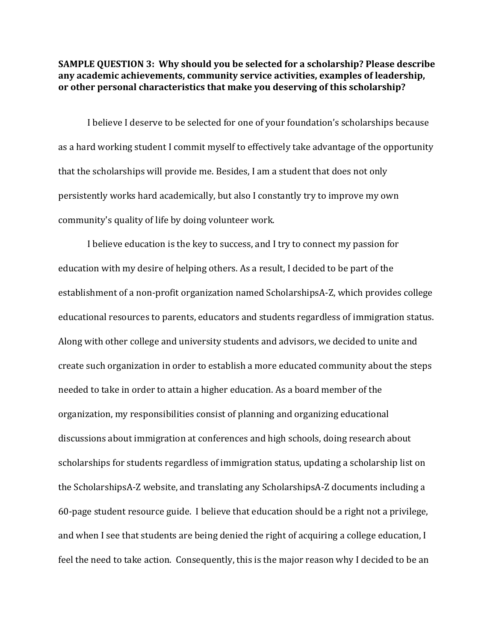**SAMPLE QUESTION 3: Why should you be selected for a scholarship? Please describe any academic achievements, community service activities, examples of leadership, or other personal characteristics that make you deserving of this scholarship?** 

I believe I deserve to be selected for one of your foundation's scholarships because as a hard working student I commit myself to effectively take advantage of the opportunity that the scholarships will provide me. Besides, I am a student that does not only persistently works hard academically, but also I constantly try to improve my own community's quality of life by doing volunteer work.

I believe education is the key to success, and I try to connect my passion for education with my desire of helping others. As a result, I decided to be part of the establishment of a non-profit organization named ScholarshipsA-Z, which provides college educational resources to parents, educators and students regardless of immigration status. Along with other college and university students and advisors, we decided to unite and create such organization in order to establish a more educated community about the steps needed to take in order to attain a higher education. As a board member of the organization, my responsibilities consist of planning and organizing educational discussions about immigration at conferences and high schools, doing research about scholarships for students regardless of immigration status, updating a scholarship list on the ScholarshipsA-Z website, and translating any ScholarshipsA-Z documents including a 60-page student resource guide. I believe that education should be a right not a privilege, and when I see that students are being denied the right of acquiring a college education, I feel the need to take action. Consequently, this is the major reason why I decided to be an